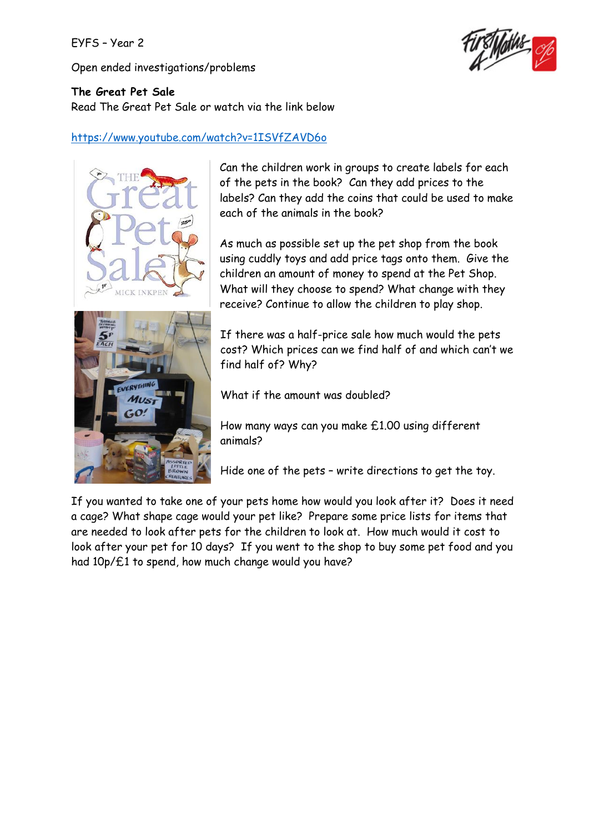# EYFS – Year 2

Open ended investigations/problems



### **The Great Pet Sale**

Read The Great Pet Sale or watch via the link below

# <https://www.youtube.com/watch?v=1ISVfZAVD6o>



Can the children work in groups to create labels for each of the pets in the book? Can they add prices to the labels? Can they add the coins that could be used to make each of the animals in the book?

As much as possible set up the pet shop from the book using cuddly toys and add price tags onto them. Give the children an amount of money to spend at the Pet Shop. What will they choose to spend? What change with they receive? Continue to allow the children to play shop.

If there was a half-price sale how much would the pets cost? Which prices can we find half of and which can't we find half of? Why?

What if the amount was doubled?

How many ways can you make £1.00 using different animals?

Hide one of the pets – write directions to get the toy.

If you wanted to take one of your pets home how would you look after it? Does it need a cage? What shape cage would your pet like? Prepare some price lists for items that are needed to look after pets for the children to look at. How much would it cost to look after your pet for 10 days? If you went to the shop to buy some pet food and you had 10p/£1 to spend, how much change would you have?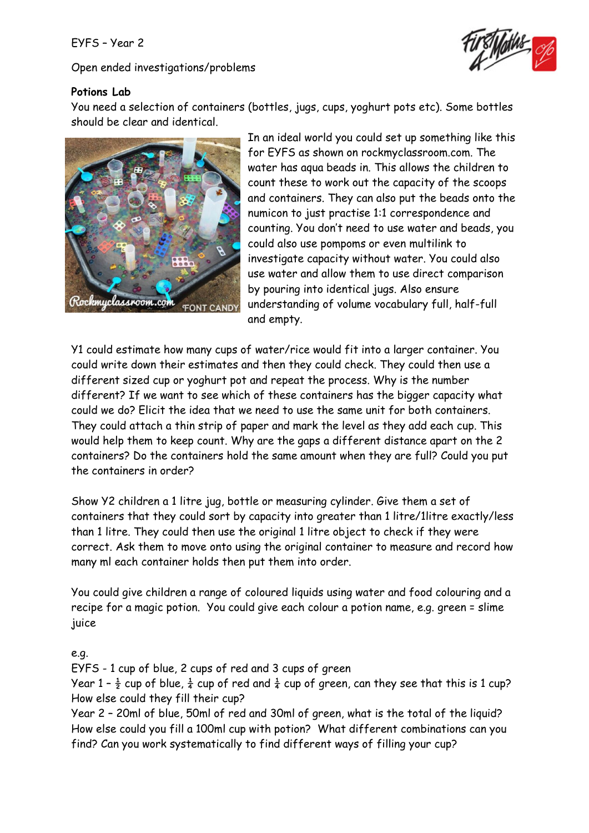#### EYFS – Year 2

Open ended investigations/problems



### **Potions Lab**

You need a selection of containers (bottles, jugs, cups, yoghurt pots etc). Some bottles should be clear and identical.



In an ideal world you could set up something like this for EYFS as shown on rockmyclassroom.com. The water has aqua beads in. This allows the children to count these to work out the capacity of the scoops and containers. They can also put the beads onto the numicon to just practise 1:1 correspondence and counting. You don't need to use water and beads, you could also use pompoms or even multilink to investigate capacity without water. You could also use water and allow them to use direct comparison by pouring into identical jugs. Also ensure understanding of volume vocabulary full, half-full and empty.

Y1 could estimate how many cups of water/rice would fit into a larger container. You could write down their estimates and then they could check. They could then use a different sized cup or yoghurt pot and repeat the process. Why is the number different? If we want to see which of these containers has the bigger capacity what could we do? Elicit the idea that we need to use the same unit for both containers. They could attach a thin strip of paper and mark the level as they add each cup. This would help them to keep count. Why are the gaps a different distance apart on the 2 containers? Do the containers hold the same amount when they are full? Could you put the containers in order?

Show Y2 children a 1 litre jug, bottle or measuring cylinder. Give them a set of containers that they could sort by capacity into greater than 1 litre/1litre exactly/less than 1 litre. They could then use the original 1 litre object to check if they were correct. Ask them to move onto using the original container to measure and record how many ml each container holds then put them into order.

You could give children a range of coloured liquids using water and food colouring and a recipe for a magic potion. You could give each colour a potion name, e.g. green = slime juice

#### e.g.

EYFS - 1 cup of blue, 2 cups of red and 3 cups of green

Year 1 -  $\frac{1}{2}$  cup of blue,  $\frac{1}{4}$  cup of red and  $\frac{1}{4}$  cup of green, can they see that this is 1 cup? How else could they fill their cup?

Year 2 – 20ml of blue, 50ml of red and 30ml of green, what is the total of the liquid? How else could you fill a 100ml cup with potion? What different combinations can you find? Can you work systematically to find different ways of filling your cup?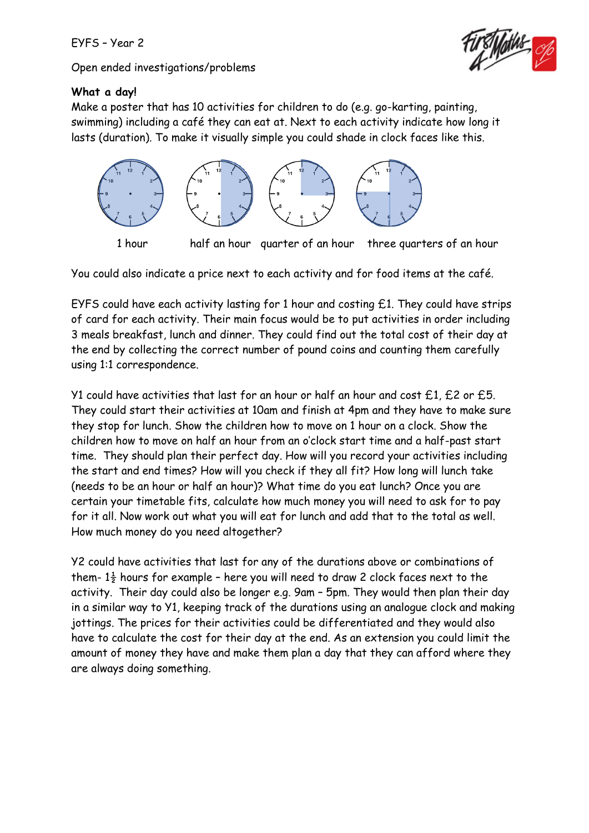Open ended investigations/problems



# **What a day!**

Make a poster that has 10 activities for children to do (e.g. go-karting, painting, swimming) including a café they can eat at. Next to each activity indicate how long it lasts (duration). To make it visually simple you could shade in clock faces like this.



You could also indicate a price next to each activity and for food items at the café.

EYFS could have each activity lasting for 1 hour and costing £1. They could have strips of card for each activity. Their main focus would be to put activities in order including 3 meals breakfast, lunch and dinner. They could find out the total cost of their day at the end by collecting the correct number of pound coins and counting them carefully using 1:1 correspondence.

Y1 could have activities that last for an hour or half an hour and cost £1, £2 or £5. They could start their activities at 10am and finish at 4pm and they have to make sure they stop for lunch. Show the children how to move on 1 hour on a clock. Show the children how to move on half an hour from an o'clock start time and a half-past start time. They should plan their perfect day. How will you record your activities including the start and end times? How will you check if they all fit? How long will lunch take (needs to be an hour or half an hour)? What time do you eat lunch? Once you are certain your timetable fits, calculate how much money you will need to ask for to pay for it all. Now work out what you will eat for lunch and add that to the total as well. How much money do you need altogether?

Y2 could have activities that last for any of the durations above or combinations of them-  $1\frac{1}{2}$  hours for example - here you will need to draw 2 clock faces next to the activity. Their day could also be longer e.g. 9am – 5pm. They would then plan their day in a similar way to Y1, keeping track of the durations using an analogue clock and making jottings. The prices for their activities could be differentiated and they would also have to calculate the cost for their day at the end. As an extension you could limit the amount of money they have and make them plan a day that they can afford where they are always doing something.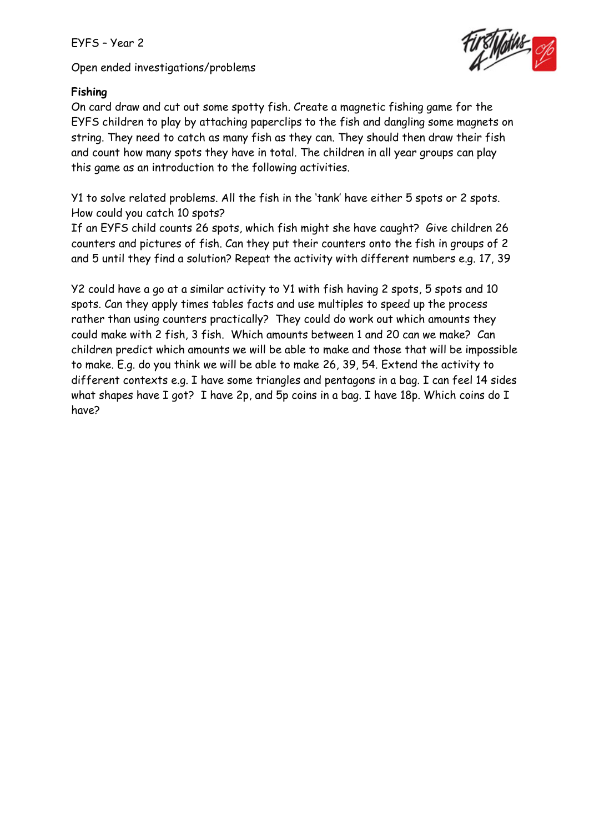Open ended investigations/problems



# **Fishing**

On card draw and cut out some spotty fish. Create a magnetic fishing game for the EYFS children to play by attaching paperclips to the fish and dangling some magnets on string. They need to catch as many fish as they can. They should then draw their fish and count how many spots they have in total. The children in all year groups can play this game as an introduction to the following activities.

Y1 to solve related problems. All the fish in the 'tank' have either 5 spots or 2 spots. How could you catch 10 spots?

If an EYFS child counts 26 spots, which fish might she have caught? Give children 26 counters and pictures of fish. Can they put their counters onto the fish in groups of 2 and 5 until they find a solution? Repeat the activity with different numbers e.g. 17, 39

Y2 could have a go at a similar activity to Y1 with fish having 2 spots, 5 spots and 10 spots. Can they apply times tables facts and use multiples to speed up the process rather than using counters practically? They could do work out which amounts they could make with 2 fish, 3 fish. Which amounts between 1 and 20 can we make? Can children predict which amounts we will be able to make and those that will be impossible to make. E.g. do you think we will be able to make 26, 39, 54. Extend the activity to different contexts e.g. I have some triangles and pentagons in a bag. I can feel 14 sides what shapes have I got? I have 2p, and 5p coins in a bag. I have 18p. Which coins do I have?